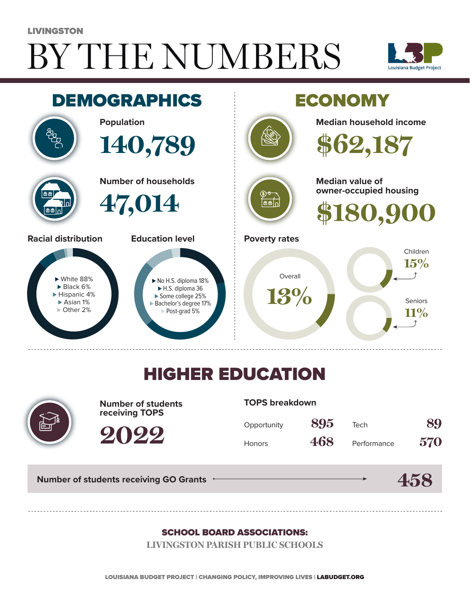# BY THE NUMBERS LIVINGSTON





## HIGHER EDUCATION



**Number of students receiving TOPS**

**2022**

#### **TOPS breakdown**

| Opportunity   | 895 | Tech        | 89  |
|---------------|-----|-------------|-----|
| <b>Honors</b> | 468 | Performance | 570 |

**Number of students receiving GO Grants**

#### **458**

#### SCHOOL BOARD ASSOCIATIONS:

**LIVINGSTON PARISH PUBLIC SCHOOLS**